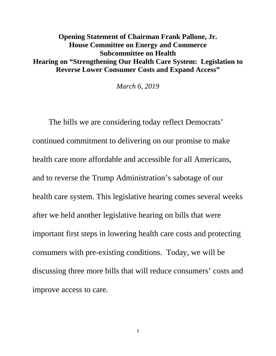## **Opening Statement of Chairman Frank Pallone, Jr. House Committee on Energy and Commerce Subcommittee on Health Hearing on "Strengthening Our Health Care System: Legislation to Reverse Lower Consumer Costs and Expand Access"**

*March 6, 2019*

The bills we are considering today reflect Democrats' continued commitment to delivering on our promise to make health care more affordable and accessible for all Americans, and to reverse the Trump Administration's sabotage of our health care system. This legislative hearing comes several weeks after we held another legislative hearing on bills that were important first steps in lowering health care costs and protecting consumers with pre-existing conditions. Today, we will be discussing three more bills that will reduce consumers' costs and improve access to care.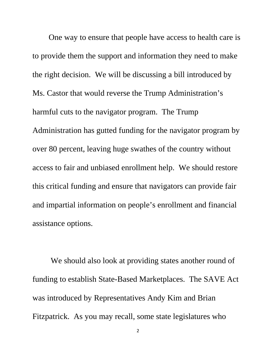One way to ensure that people have access to health care is to provide them the support and information they need to make the right decision. We will be discussing a bill introduced by Ms. Castor that would reverse the Trump Administration's harmful cuts to the navigator program. The Trump Administration has gutted funding for the navigator program by over 80 percent, leaving huge swathes of the country without access to fair and unbiased enrollment help. We should restore this critical funding and ensure that navigators can provide fair and impartial information on people's enrollment and financial assistance options.

We should also look at providing states another round of funding to establish State-Based Marketplaces. The SAVE Act was introduced by Representatives Andy Kim and Brian Fitzpatrick. As you may recall, some state legislatures who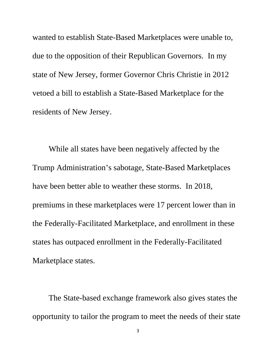wanted to establish State-Based Marketplaces were unable to, due to the opposition of their Republican Governors. In my state of New Jersey, former Governor Chris Christie in 2012 vetoed a bill to establish a State-Based Marketplace for the residents of New Jersey.

While all states have been negatively affected by the Trump Administration's sabotage, State-Based Marketplaces have been better able to weather these storms. In 2018, premiums in these marketplaces were 17 percent lower than in the Federally-Facilitated Marketplace, and enrollment in these states has outpaced enrollment in the Federally-Facilitated Marketplace states.

The State-based exchange framework also gives states the opportunity to tailor the program to meet the needs of their state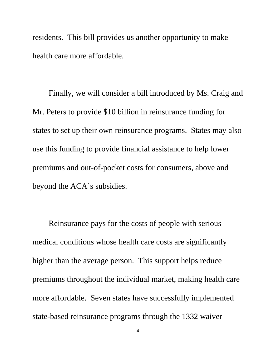residents. This bill provides us another opportunity to make health care more affordable.

Finally, we will consider a bill introduced by Ms. Craig and Mr. Peters to provide \$10 billion in reinsurance funding for states to set up their own reinsurance programs. States may also use this funding to provide financial assistance to help lower premiums and out-of-pocket costs for consumers, above and beyond the ACA's subsidies.

Reinsurance pays for the costs of people with serious medical conditions whose health care costs are significantly higher than the average person. This support helps reduce premiums throughout the individual market, making health care more affordable. Seven states have successfully implemented state-based reinsurance programs through the 1332 waiver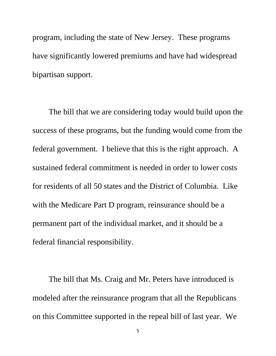program, including the state of New Jersey. These programs have significantly lowered premiums and have had widespread bipartisan support.

The bill that we are considering today would build upon the success of these programs, but the funding would come from the federal government. I believe that this is the right approach. A sustained federal commitment is needed in order to lower costs for residents of all 50 states and the District of Columbia. Like with the Medicare Part D program, reinsurance should be a permanent part of the individual market, and it should be a federal financial responsibility.

The bill that Ms. Craig and Mr. Peters have introduced is modeled after the reinsurance program that all the Republicans on this Committee supported in the repeal bill of last year. We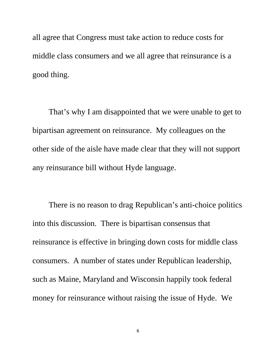all agree that Congress must take action to reduce costs for middle class consumers and we all agree that reinsurance is a good thing.

That's why I am disappointed that we were unable to get to bipartisan agreement on reinsurance. My colleagues on the other side of the aisle have made clear that they will not support any reinsurance bill without Hyde language.

There is no reason to drag Republican's anti-choice politics into this discussion. There is bipartisan consensus that reinsurance is effective in bringing down costs for middle class consumers. A number of states under Republican leadership, such as Maine, Maryland and Wisconsin happily took federal money for reinsurance without raising the issue of Hyde. We